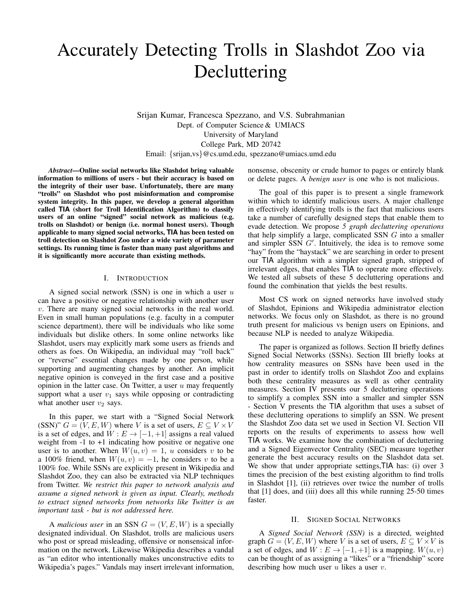# Accurately Detecting Trolls in Slashdot Zoo via Decluttering

Srijan Kumar, Francesca Spezzano, and V.S. Subrahmanian Dept. of Computer Science & UMIACS University of Maryland College Park, MD 20742

Email: {srijan,vs}@cs.umd.edu, spezzano@umiacs.umd.edu

*Abstract*—Online social networks like Slashdot bring valuable information to millions of users - but their accuracy is based on the integrity of their user base. Unfortunately, there are many "trolls" on Slashdot who post misinformation and compromise system integrity. In this paper, we develop a general algorithm called **TIA** (short for Troll Identification Algorithm) to classify users of an online "signed" social network as malicious (e.g. trolls on Slashdot) or benign (i.e. normal honest users). Though applicable to many signed social networks, **TIA** has been tested on troll detection on Slashdot Zoo under a wide variety of parameter settings. Its running time is faster than many past algorithms and it is significantly more accurate than existing methods.

# I. INTRODUCTION

A signed social network (SSN) is one in which a user  $u$ can have a positive or negative relationship with another user v. There are many signed social networks in the real world. Even in small human populations (e.g. faculty in a computer science department), there will be individuals who like some individuals but dislike others. In some online networks like Slashdot, users may explicitly mark some users as friends and others as foes. On Wikipedia, an individual may "roll back" or "reverse" essential changes made by one person, while supporting and augmenting changes by another. An implicit negative opinion is conveyed in the first case and a positive opinion in the latter case. On Twitter, a user  $u$  may frequently support what a user  $v_1$  says while opposing or contradicting what another user  $v_2$  says.

In this paper, we start with a "Signed Social Network (SSN)"  $G = (V, E, W)$  where V is a set of users,  $E \subseteq V \times V$ is a set of edges, and  $W : E \rightarrow [-1, +1]$  assigns a real valued weight from  $-1$  to  $+1$  indicating how positive or negative one user is to another. When  $W(u, v) = 1$ , u considers v to be a 100% friend, when  $W(u, v) = -1$ , he considers v to be a 100% foe. While SSNs are explicitly present in Wikipedia and Slashdot Zoo, they can also be extracted via NLP techniques from Twitter. *We restrict this paper to network analysis and assume a signed network is given as input. Clearly, methods to extract signed networks from networks like Twitter is an important task - but is not addressed here.*

A *malicious user* in an SSN  $G = (V, E, W)$  is a specially designated individual. On Slashdot, trolls are malicious users who post or spread misleading, offensive or nonsensical information on the network. Likewise Wikipedia describes a vandal as "an editor who intentionally makes unconstructive edits to Wikipedia's pages." Vandals may insert irrelevant information, nonsense, obscenity or crude humor to pages or entirely blank or delete pages. A *benign user* is one who is not malicious.

The goal of this paper is to present a single framework within which to identify malicious users. A major challenge in effectively identifying trolls is the fact that malicious users take a number of carefully designed steps that enable them to evade detection. We propose *5 graph decluttering operations* that help simplify a large, complicated SSN  $G$  into a smaller and simpler SSN  $G'$ . Intuitively, the idea is to remove some "hay" from the "haystack" we are searching in order to present our TIA algorithm with a simpler signed graph, stripped of irrelevant edges, that enables TIA to operate more effectively. We tested all subsets of these 5 decluttering operations and found the combination that yields the best results.

Most CS work on signed networks have involved study of Slashdot, Epinions and Wikipedia administrator election networks. We focus only on Slashdot, as there is no ground truth present for malicious vs benign users on Epinions, and because NLP is needed to analyze Wikipedia.

The paper is organized as follows. Section II briefly defines Signed Social Networks (SSNs). Section III briefly looks at how centrality measures on SSNs have been used in the past in order to identify trolls on Slashdot Zoo and explains both these centrality measures as well as other centrality measures. Section IV presents our 5 decluttering operations to simplify a complex SSN into a smaller and simpler SSN - Section V presents the TIA algorithm that uses a subset of these decluttering operations to simplify an SSN. We present the Slashdot Zoo data set we used in Section VI. Section VII reports on the results of experiments to assess how well TIA works. We examine how the combination of decluttering and a Signed Eigenvector Centrality (SEC) measure together generate the best accuracy results on the Slashdot data set. We show that under appropriate settings,TIA has: (i) over 3 times the precision of the best existing algorithm to find trolls in Slashdot [1], (ii) retrieves over twice the number of trolls that [1] does, and (iii) does all this while running 25-50 times faster.

## II. SIGNED SOCIAL NETWORKS

A *Signed Social Network (SSN)* is a directed, weighted graph  $G = (V, E, W)$  where V is a set of users,  $E \subseteq V \times V$  is a set of edges, and  $W : E \to [-1, +1]$  is a mapping.  $W(u, v)$ can be thought of as assigning a "likes" or a "friendship" score describing how much user  $u$  likes a user  $v$ .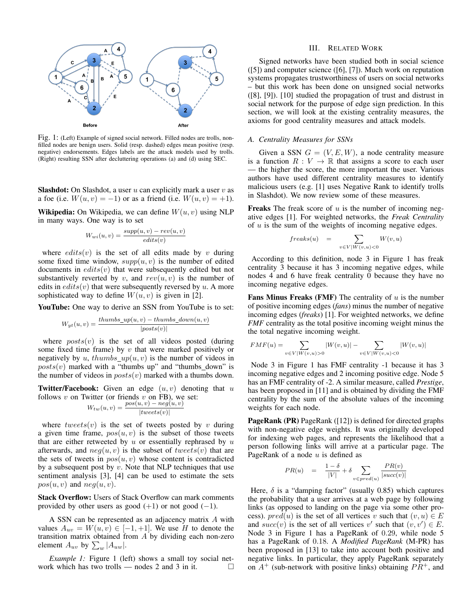

Fig. 1: (Left) Example of signed social network. Filled nodes are trolls, nonfilled nodes are benign users. Solid (resp. dashed) edges mean positive (resp. negative) endorsements. Edges labels are the attack models used by trolls. (Right) resulting SSN after decluttering operations (a) and (d) using SEC.

**Slashdot:** On Slashdot, a user u can explicitly mark a user v as a foe (i.e.  $W(u, v) = -1$ ) or as a friend (i.e.  $W(u, v) = +1$ ).

**Wikipedia:** On Wikipedia, we can define  $W(u, v)$  using NLP in many ways. One way is to set

$$
W_{wi}(u,v) = \frac{supp(u,v) - rev(u,v)}{edits(v)}
$$

where  $edits(v)$  is the set of all edits made by v during some fixed time window,  $supp(u, v)$  is the number of edited documents in  $edits(v)$  that were subsequently edited but not substantively reverted by v, and  $rev(u, v)$  is the number of edits in  $edits(v)$  that were subsequently reversed by u. A more sophisticated way to define  $W(u, v)$  is given in [2].

YouTube: One way to derive an SSN from YouTube is to set:

$$
W_{yt}(u,v) = \frac{thumbs\_up(u,v) - thumbs\_down(u,v)}{|posts(v)|}
$$

where  $posts(v)$  is the set of all videos posted (during some fixed time frame) by  $v$  that were marked positively or negatively by u, thumbs  $up(u, v)$  is the number of videos in  $posts(v)$  marked with a "thumbs up" and "thumbs down" is the number of videos in  $posts(v)$  marked with a thumbs down.

**Twitter/Facebook:** Given an edge  $(u, v)$  denoting that u follows  $v$  on Twitter (or friends  $v$  on FB), we set:

$$
W_{tw}(u, v) = \frac{pos(u, v) - neg(u, v)}{|tweets(v)|}
$$

where  $tweets(v)$  is the set of tweets posted by v during a given time frame,  $pos(u, v)$  is the subset of those tweets that are either retweeted by  $u$  or essentially rephrased by  $u$ afterwards, and  $neg(u, v)$  is the subset of  $tweets(v)$  that are the sets of tweets in  $pos(u, v)$  whose content is contradicted by a subsequent post by  $v$ . Note that NLP techniques that use sentiment analysis [3], [4] can be used to estimate the sets  $pos(u, v)$  and  $neg(u, v)$ .

Stack Overflow: Users of Stack Overflow can mark comments provided by other users as good  $(+1)$  or not good  $(-1)$ .

A SSN can be represented as an adjacency matrix A with values  $A_{uv} = W(u, v) \in [-1, +1]$ . We use H to denote the transition matrix obtained from  $A$  by dividing each non-zero element  $A_{uv}$  by  $\sum_{w} |A_{uw}|$ .

*Example 1:* Figure 1 (left) shows a small toy social network which has two trolls — nodes 2 and 3 in it.  $\Box$ 

# III. RELATED WORK

Signed networks have been studied both in social science ([5]) and computer science ([6], [7]). Much work on reputation systems propagates trustworthiness of users on social networks – but this work has been done on unsigned social networks ([8], [9]). [10] studied the propagation of trust and distrust in social network for the purpose of edge sign prediction. In this section, we will look at the existing centrality measures, the axioms for good centrality measures and attack models.

# *A. Centrality Measures for SSNs*

Given a SSN  $G = (V, E, W)$ , a node centrality measure is a function  $R: V \to \mathbb{R}$  that assigns a score to each user — the higher the score, the more important the user. Various authors have used different centrality measures to identify malicious users (e.g. [1] uses Negative Rank to identify trolls in Slashdot). We now review some of these measures.

**Freaks** The freak score of  $u$  is the number of incoming negative edges [1]. For weighted networks, the *Freak Centrality* of  $u$  is the sum of the weights of incoming negative edges.

$$
freaks(u) = \sum_{v \in V | W(v, u) < 0} W(v, u)
$$

According to this definition, node 3 in Figure 1 has freak centrality 3 because it has 3 incoming negative edges, while nodes 4 and 6 have freak centrality 0 because they have no incoming negative edges.

**Fans Minus Freaks (FMF)** The centrality of  $u$  is the number of positive incoming edges (*fans*) minus the number of negative incoming edges (*freaks*) [1]. For weighted networks, we define *FMF* centrality as the total positive incoming weight minus the the total negative incoming weight.

$$
FMF(u) = \sum_{v \in V|W(v,u) > 0} |W(v,u)| - \sum_{v \in V|W(v,u) < 0} |W(v,u)|
$$

Node 3 in Figure 1 has FMF centrality -1 because it has 3 incoming negative edges and 2 incoming positive edge. Node 5 has an FMF centrality of -2. A similar measure, called *Prestige*, has been proposed in [11] and is obtained by dividing the FMF centrality by the sum of the absolute values of the incoming weights for each node.

PageRank (PR) PageRank ([12]) is defined for directed graphs with non-negative edge weights. It was originally developed for indexing web pages, and represents the likelihood that a person following links will arrive at a particular page. The PageRank of a node  $u$  is defined as

$$
PR(u) = \frac{1-\delta}{|V|} + \delta \sum_{v \in pred(u)} \frac{PR(v)}{|succ(v)|}
$$

Here,  $\delta$  is a "damping factor" (usually 0.85) which captures the probability that a user arrives at a web page by following links (as opposed to landing on the page via some other process).  $pred(u)$  is the set of all vertices v such that  $(v, u) \in E$ and  $succ(v)$  is the set of all vertices v' such that  $(v, v') \in E$ . Node 3 in Figure 1 has a PageRank of 0.29, while node 5 has a PageRank of 0.18. A *Modified PageRank* (M-PR) has been proposed in [13] to take into account both positive and negative links. In particular, they apply PageRank separately on  $A^+$  (sub-network with positive links) obtaining  $PR^+$ , and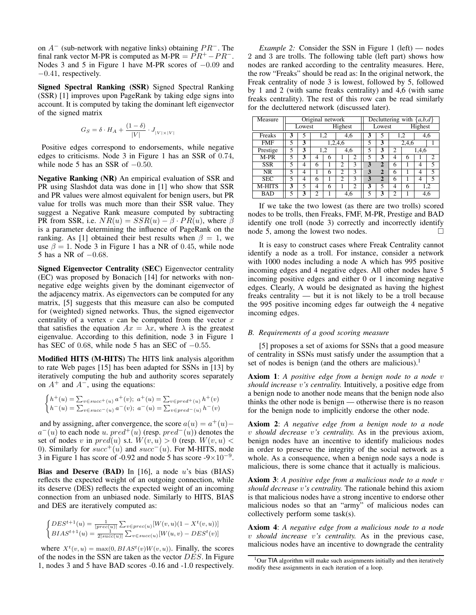on  $A^-$  (sub-network with negative links) obtaining  $PR^-$ . The final rank vector M-PR is computed as M-PR =  $PR^+ - PR^-$ . Nodes 3 and 5 in Figure 1 have M-PR scores of −0.09 and −0.41, respectively.

Signed Spectral Ranking (SSR) Signed Spectral Ranking (SSR) [1] improves upon PageRank by taking edge signs into account. It is computed by taking the dominant left eigenvector of the signed matrix

$$
G_S = \delta \cdot H_A + \frac{(1-\delta)}{|V|} \cdot J_{|V| \times |V|}
$$

Positive edges correspond to endorsements, while negative edges to criticisms. Node 3 in Figure 1 has an SSR of 0.74, while node 5 has an SSR of  $-0.50$ .

Negative Ranking (NR) An empirical evaluation of SSR and PR using Slashdot data was done in [1] who show that SSR and PR values were almost equivalent for benign users, but PR value for trolls was much more than their SSR value. They suggest a Negative Rank measure computed by subtracting PR from SSR, i.e.  $NR(u) = SSR(u) - \beta \cdot PR(u)$ , where  $\beta$ is a parameter determining the influence of PageRank on the ranking. As [1] obtained their best results when  $\beta = 1$ , we use  $\beta = 1$ . Node 3 in Figure 1 has a NR of 0.45, while node 5 has a NR of −0.68.

Signed Eigenvector Centrality (SEC) Eigenvector centrality (EC) was proposed by Bonacich [14] for networks with nonnegative edge weights given by the dominant eigenvector of the adjacency matrix. As eigenvectors can be computed for any matrix, [5] suggests that this measure can also be computed for (weighted) signed networks. Thus, the signed eigenvector centrality of a vertex  $v$  can be computed from the vector  $x$ that satisfies the equation  $Ax = \lambda x$ , where  $\lambda$  is the greatest eigenvalue. According to this definition, node 3 in Figure 1 has SEC of 0.68, while node 5 has an SEC of −0.55.

Modified HITS (M-HITS) The HITS link analysis algorithm to rate Web pages [15] has been adapted for SSNs in [13] by iteratively computing the hub and authority scores separately on  $A^+$  and  $A^-$ , using the equations:

$$
\begin{cases} h^+(u) = \sum_{v \in succ^+(u)} a^+(v); \ a^+(u) = \sum_{v \in pred^+(u)} h^+(v) \\ h^-(u) = \sum_{v \in succ^-(u)} a^-(v); \ a^-(u) = \sum_{v \in pred^-(u)} h^-(v) \end{cases}
$$

and by assigning, after convergence, the score  $a(u) = a^+(u)$  $a^{-}(u)$  to each node u.  $pred^{+}(u)$  (resp.  $pred^{-}(u)$ ) denotes the set of nodes v in  $pred(u)$  s.t.  $W(v, u) > 0$  (resp.  $W(v, u) <$ 0). Similarly for  $succ^+(u)$  and  $succ^-(u)$ . For M-HITS, node 3 in Figure 1 has score of -0.92 and node 5 has score -9 $\times 10^{-9}$ .

**Bias and Deserve (BAD)** In [16], a node  $u$ 's bias (BIAS) reflects the expected weight of an outgoing connection, while its deserve (DES) reflects the expected weight of an incoming connection from an unbiased node. Similarly to HITS, BIAS and DES are iteratively computed as:

$$
\begin{cases} DES^{t+1}(u) = \frac{1}{|prec(u)|} \sum_{v \in prec(u)} [W(v, u)(1 - X^t(v, u))] \\ BIAS^{t+1}(u) = \frac{1}{2|succ(u)|} \sum_{v \in succ(u)} [W(u, v) - DES^t(v)] \end{cases}
$$

where  $X^t(v, u) = \max(0, BIAS^t(v)W(v, u))$ . Finally, the scores of the nodes in the SSN are taken as the vector DES. In Figure 1, nodes 3 and 5 have BAD scores -0.16 and -1.0 respectively.

*Example 2:* Consider the SSN in Figure 1 (left) — nodes 2 and 3 are trolls. The following table (left part) shows how nodes are ranked according to the centrality measures. Here, the row "Freaks" should be read as: In the original network, the Freak centrality of node 3 is lowest, followed by 5, followed by 1 and 2 (with same freaks centrality) and 4,6 (with same freaks centrality). The rest of this row can be read similarly for the decluttered network (discussed later).

| Measure       |   |        |                | Original network |                      | Decluttering with $\{a,b,d\}$ |   |                |                |       |       |                |
|---------------|---|--------|----------------|------------------|----------------------|-------------------------------|---|----------------|----------------|-------|-------|----------------|
|               |   | Lowest |                |                  | Highest              | Highest<br>Lowest             |   |                |                |       |       |                |
| Freaks        | 3 |        |                | 1,2              |                      | 4,6                           | 3 |                | 1,2            |       | 4,6   |                |
| FMF           | 5 | 3      |                |                  | $\overline{1,2,4,6}$ |                               | 5 | 3              |                | 2,4,6 |       |                |
| Prestige      | 5 | 3      |                | 1,2              | 4,6                  |                               | 5 | 3              | $\overline{2}$ |       | 1,4,6 |                |
| M-PR          | 5 | 3      | 4              | 6                |                      | 2                             | 5 | 3              | 4              | 6     |       | $\overline{2}$ |
| <b>SSR</b>    | 5 | 4      | 6              |                  | $\overline{c}$       | 3                             | 3 | $\overline{2}$ | 6              |       | 4     | 5              |
| <b>NR</b>     | 5 | 4      |                | 6                | $\overline{c}$       | 3                             | 3 | $\overline{2}$ | 6              |       | 4     | 5              |
| <b>SEC</b>    | 5 | 4      | 6              |                  |                      | 3                             | 3 | $\overline{2}$ | 6              |       | 4     | 5              |
| <b>M-HITS</b> | 3 | 5      | 6<br>4         |                  |                      | $\overline{c}$                |   | 5              | 4              | 6     |       | 1,2            |
| BAD           | 5 | 3      | $\overline{c}$ |                  |                      | 4,6                           | 5 | 3              | $\overline{c}$ | 4,6   |       |                |

If we take the two lowest (as there are two trolls) scored nodes to be trolls, then Freaks, FMF, M-PR, Prestige and BAD identify one troll (node 3) correctly and incorrectly identify node 5, among the lowest two nodes. □

It is easy to construct cases where Freak Centrality cannot identify a node as a troll. For instance, consider a network with 1000 nodes including a node A which has 995 positive incoming edges and 4 negative edges. All other nodes have 5 incoming positive edges and either 0 or 1 incoming negative edges. Clearly, A would be designated as having the highest freaks centrality — but it is not likely to be a troll because the 995 positive incoming edges far outweigh the 4 negative incoming edges.

# *B. Requirements of a good scoring measure*

[5] proposes a set of axioms for SSNs that a good measure of centrality in SSNs must satisfy under the assumption that a set of nodes is benign (and the others are malicious).<sup>1</sup>

Axiom 1: *A positive edge from a benign node to a node* v *should increase* v*'s centrality.* Intuitively, a positive edge from a benign node to another node means that the benign node also thinks the other node is benign — otherwise there is no reason for the benign node to implicitly endorse the other node.

Axiom 2: *A negative edge from a benign node to a node* v *should decrease* v*'s centrality.* As in the previous axiom, benign nodes have an incentive to identify malicious nodes in order to preserve the integrity of the social network as a whole. As a consequence, when a benign node says a node is malicious, there is some chance that it actually is malicious.

Axiom 3: *A positive edge from a malicious node to a node* v *should decrease* v*'s centrality.* The rationale behind this axiom is that malicious nodes have a strong incentive to endorse other malicious nodes so that an "army" of malicious nodes can collectively perform some task(s).

Axiom 4: *A negative edge from a malicious node to a node* v *should increase* v*'s centrality.* As in the previous case, malicious nodes have an incentive to downgrade the centrality

 $1$ Our TIA algorithm will make such assignments initially and then iteratively modify these assignments in each iteration of a loop.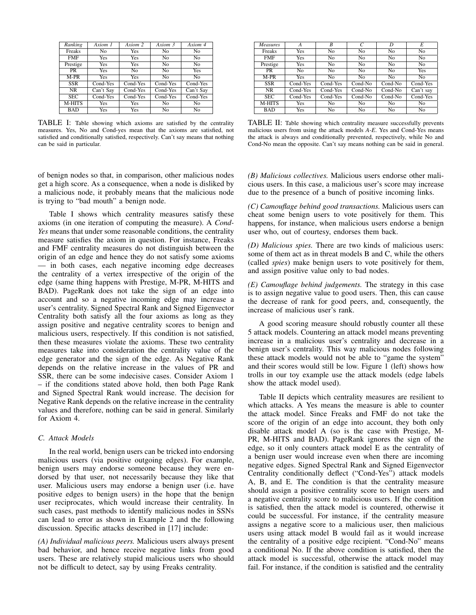| Ranking                | Axiom 1   | Axiom 2  | Axiom 3        | Axiom 4   |
|------------------------|-----------|----------|----------------|-----------|
| Freaks                 | No.       | Yes      | N <sub>0</sub> | No        |
| <b>FMF</b>             | Yes       | Yes      | No             | No        |
| Prestige               | Yes       | Yes      | N <sub>0</sub> | No        |
| <b>PR</b>              | Yes       | No       | No             | Yes       |
| M-PR                   | Yes       | Yes      | N <sub>0</sub> | No        |
| <b>SSR</b>             | Cond-Yes  | Cond-Yes | Cond-Yes       | Cond-Yes  |
| $\overline{\text{NR}}$ | Can't Say | Cond-Yes | Cond-Yes       | Can't Say |
| <b>SEC</b>             | Cond-Yes  | Cond-Yes | Cond-Yes       | Cond-Yes  |
| M-HITS                 | Yes       | Yes      | No             | No        |
| <b>BAD</b>             | Yes       | Yes      | No             | No        |

TABLE I: Table showing which axioms are satisfied by the centrality measures. Yes, No and Cond-yes mean that the axioms are satisfied, not satisfied and conditionally satisfied, respectively. Can't say means that nothing can be said in particular.

of benign nodes so that, in comparison, other malicious nodes get a high score. As a consequence, when a node is disliked by a malicious node, it probably means that the malicious node is trying to "bad mouth" a benign node.

Table I shows which centrality measures satisfy these axioms (in one iteration of computing the measure). A *Cond-Yes* means that under some reasonable conditions, the centrality measure satisfies the axiom in question. For instance, Freaks and FMF centrality measures do not distinguish between the origin of an edge and hence they do not satisfy some axioms — in both cases, each negative incoming edge decreases the centrality of a vertex irrespective of the origin of the edge (same thing happens with Prestige, M-PR, M-HITS and BAD). PageRank does not take the sign of an edge into account and so a negative incoming edge may increase a user's centrality. Signed Spectral Rank and Signed Eigenvector Centrality both satisfy all the four axioms as long as they assign positive and negative centrality scores to benign and malicious users, respectively. If this condition is not satisfied, then these measures violate the axioms. These two centrality measures take into consideration the centrality value of the edge generator and the sign of the edge. As Negative Rank depends on the relative increase in the values of PR and SSR, there can be some indecisive cases. Consider Axiom 1 – if the conditions stated above hold, then both Page Rank and Signed Spectral Rank would increase. The decision for Negative Rank depends on the relative increase in the centrality values and therefore, nothing can be said in general. Similarly for Axiom 4.

#### *C. Attack Models*

In the real world, benign users can be tricked into endorsing malicious users (via positive outgoing edges). For example, benign users may endorse someone because they were endorsed by that user, not necessarily because they like that user. Malicious users may endorse a benign user (i.e. have positive edges to benign users) in the hope that the benign user reciprocates, which would increase their centrality. In such cases, past methods to identify malicious nodes in SSNs can lead to error as shown in Example 2 and the following discussion. Specific attacks described in [17] include:

*(A) Individual malicious peers.* Malicious users always present bad behavior, and hence receive negative links from good users. These are relatively stupid malicious users who should not be difficult to detect, say by using Freaks centrality.

| <b>Measures</b> | A        | B              | C              | D              | E         |
|-----------------|----------|----------------|----------------|----------------|-----------|
| Freaks          | Yes      | No             | No             | No             | No        |
| <b>FMF</b>      | Yes      | No             | N <sub>0</sub> | N <sub>0</sub> | No        |
| Prestige        | Yes      | No             | No             | No             | No        |
| <b>PR</b>       | No       | No             | N <sub>0</sub> | No             | Yes       |
| M-PR            | Yes      | No             | N <sub>0</sub> | No             | No        |
| <b>SSR</b>      | Cond-Yes | Cond-Yes       | Cond-No        | Cond-No        | Cond-Yes  |
| <b>NR</b>       | Cond-Yes | Cond-Yes       | $Cond-No$      | $Cond-No$      | Can't say |
| <b>SEC</b>      | Cond-Yes | Cond-Yes       | Cond-No        | Cond-No        | Cond-Yes  |
| M-HITS          | Yes      | N <sub>0</sub> | N <sub>0</sub> | No             | No        |
| <b>BAD</b>      | Yes      | No             | No             | No             | No        |

TABLE II: Table showing which centrality measure successfully prevents malicious users from using the attack models *A-E*. Yes and Cond-Yes means the attack is always and conditionally prevented, respectively, while No and Cond-No mean the opposite. Can't say means nothing can be said in general.

*(B) Malicious collectives.* Malicious users endorse other malicious users. In this case, a malicious user's score may increase due to the presence of a bunch of positive incoming links.

*(C) Camouflage behind good transactions.* Malicious users can cheat some benign users to vote positively for them. This happens, for instance, when malicious users endorse a benign user who, out of courtesy, endorses them back.

*(D) Malicious spies.* There are two kinds of malicious users: some of them act as in threat models B and C, while the others (called *spies*) make benign users to vote positively for them, and assign positive value only to bad nodes.

*(E) Camouflage behind judgements.* The strategy in this case is to assign negative value to good users. Then, this can cause the decrease of rank for good peers, and, consequently, the increase of malicious user's rank.

A good scoring measure should robustly counter all these 5 attack models. Countering an attack model means preventing increase in a malicious user's centrality and decrease in a benign user's centrality. This way malicious nodes following these attack models would not be able to "game the system" and their scores would still be low. Figure 1 (left) shows how trolls in our toy example use the attack models (edge labels show the attack model used).

Table II depicts which centrality measures are resilient to which attacks. A Yes means the measure is able to counter the attack model. Since Freaks and FMF do not take the score of the origin of an edge into account, they both only disable attack model A (so is the case with Prestige, M-PR, M-HITS and BAD). PageRank ignores the sign of the edge, so it only counters attack model E as the centrality of a benign user would increase even when there are incoming negative edges. Signed Spectral Rank and Signed Eigenvector Centrality conditionally deflect ("Cond-Yes") attack models A, B, and E. The condition is that the centrality measure should assign a positive centrality score to benign users and a negative centrality score to malicious users. If the condition is satisfied, then the attack model is countered, otherwise it could be successful. For instance, if the centrality measure assigns a negative score to a malicious user, then malicious users using attack model B would fail as it would increase the centrality of a positive edge recipient. "Cond-No" means a conditional No. If the above condition is satisfied, then the attack model is successful, otherwise the attack model may fail. For instance, if the condition is satisfied and the centrality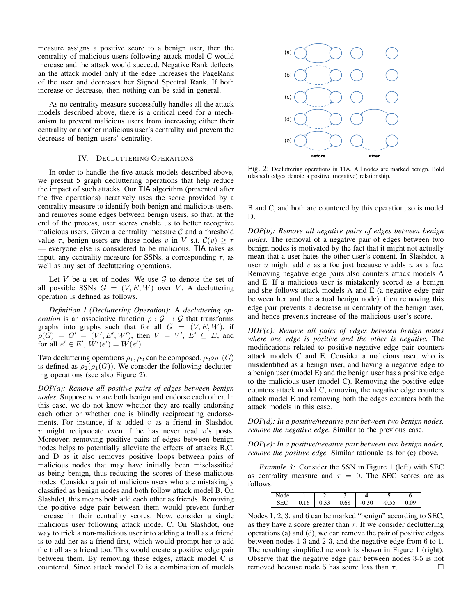measure assigns a positive score to a benign user, then the centrality of malicious users following attack model C would increase and the attack would succeed. Negative Rank deflects an the attack model only if the edge increases the PageRank of the user and decreases her Signed Spectral Rank. If both increase or decrease, then nothing can be said in general.

As no centrality measure successfully handles all the attack models described above, there is a critical need for a mechanism to prevent malicious users from increasing either their centrality or another malicious user's centrality and prevent the decrease of benign users' centrality.

## IV. DECLUTTERING OPERATIONS

In order to handle the five attack models described above, we present 5 graph decluttering operations that help reduce the impact of such attacks. Our TIA algorithm (presented after the five operations) iteratively uses the score provided by a centrality measure to identify both benign and malicious users, and removes some edges between benign users, so that, at the end of the process, user scores enable us to better recognize malicious users. Given a centrality measure  $\mathcal C$  and a threshold value  $\tau$ , benign users are those nodes v in V s.t.  $\mathcal{C}(v) \geq \tau$ — everyone else is considered to be malicious. TIA takes as input, any centrality measure for SSNs, a corresponding  $\tau$ , as well as any set of decluttering operations.

Let  $V$  be a set of nodes. We use  $G$  to denote the set of all possible SSNs  $G = (V, E, W)$  over V. A decluttering operation is defined as follows.

*Definition 1 (Decluttering Operation):* A *decluttering operation* is an associative function  $\rho : \mathcal{G} \to \mathcal{G}$  that transforms graphs into graphs such that for all  $G = (V, E, W)$ , if  $\rho(\tilde{G}) = G' = (V', E', W')$ , then  $V = V', E' \subseteq E$ , and for all  $e' \in E'$ ,  $\hat{W}'(e') = W(e')$ .

Two decluttering operations  $\rho_1, \rho_2$  can be composed.  $\rho_2 \circ \rho_1(G)$ is defined as  $\rho_2(\rho_1(G))$ . We consider the following decluttering operations (see also Figure 2).

*DOP(a): Remove all positive pairs of edges between benign nodes.* Suppose u, v are both benign and endorse each other. In this case, we do not know whether they are really endorsing each other or whether one is blindly reciprocating endorsements. For instance, if  $u$  added  $v$  as a friend in Slashdot,  $v$  might reciprocate even if he has never read  $v$ 's posts. Moreover, removing positive pairs of edges between benign nodes helps to potentially alleviate the effects of attacks B,C, and D as it also removes positive loops between pairs of malicious nodes that may have initially been misclassified as being benign, thus reducing the scores of these malicious nodes. Consider a pair of malicious users who are mistakingly classified as benign nodes and both follow attack model B. On Slashdot, this means both add each other as friends. Removing the positive edge pair between them would prevent further increase in their centrality scores. Now, consider a single malicious user following attack model C. On Slashdot, one way to trick a non-malicious user into adding a troll as a friend is to add her as a friend first, which would prompt her to add the troll as a friend too. This would create a positive edge pair between them. By removing these edges, attack model C is countered. Since attack model D is a combination of models



Fig. 2: Decluttering operations in TIA. All nodes are marked benign. Bold (dashed) edges denote a positive (negative) relationship.

B and C, and both are countered by this operation, so is model D.

*DOP(b): Remove all negative pairs of edges between benign nodes.* The removal of a negative pair of edges between two benign nodes is motivated by the fact that it might not actually mean that a user hates the other user's content. In Slashdot, a user  $u$  might add  $v$  as a foe just because  $v$  adds  $u$  as a foe. Removing negative edge pairs also counters attack models A and E. If a malicious user is mistakenly scored as a benign and she follows attack models A and E (a negative edge pair between her and the actual benign node), then removing this edge pair prevents a decrease in centrality of the benign user, and hence prevents increase of the malicious user's score.

*DOP(c): Remove all pairs of edges between benign nodes where one edge is positive and the other is negative.* The modifications related to positive-negative edge pair counters attack models C and E. Consider a malicious user, who is misidentified as a benign user, and having a negative edge to a benign user (model E) and the benign user has a positive edge to the malicious user (model C). Removing the positive edge counters attack model C, removing the negative edge counters attack model E and removing both the edges counters both the attack models in this case.

*DOP(d): In a positive/negative pair between two benign nodes, remove the negative edge.* Similar to the previous case.

*DOP(e): In a positive/negative pair between two benign nodes, remove the positive edge.* Similar rationale as for (c) above.

*Example 3:* Consider the SSN in Figure 1 (left) with SEC as centrality measure and  $\tau = 0$ . The SEC scores are as follows:

|  | v | vu<br>ີ | v<br>.<br>ີ |  |
|--|---|---------|-------------|--|

Nodes 1, 2, 3, and 6 can be marked "benign" according to SEC, as they have a score greater than  $\tau$ . If we consider decluttering operations (a) and (d), we can remove the pair of positive edges between nodes 1-3 and 2-3, and the negative edge from 6 to 1. The resulting simplified network is shown in Figure 1 (right). Observe that the negative edge pair between nodes 3-5 is not removed because node 5 has score less than  $\tau$ .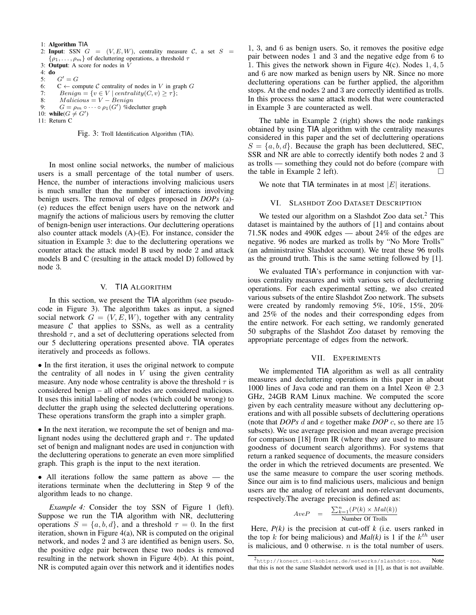```
1: Algorithm TIA
 2: Input: SSN G = (V, E, W), centrality measure C, a set S =\{\rho_1, \ldots, \rho_m\} of decluttering operations, a threshold \tau3: Output: A score for nodes in V
 4: do 5:5: G' = G<br>6: C \leftarrow \text{col}6: C \leftarrow \text{compute } C \text{ centrality of nodes in } V \text{ in graph } G<br>7: \text{Benian} = \{v \in V \mid \text{centrality}(C, v) \geq \tau\}.Benign = \{v \in V \mid centrality(C, v) \geq \tau\};8: Malicious = V - Benign<br>9: G = 0 = 0:000 G'/N9: G = \rho_m \circ \cdots \circ \rho_1(G') % declutter graph
10: while (G \neq G')11: Return C
```
Fig. 3: Troll Identification Algorithm (TIA).

In most online social networks, the number of malicious users is a small percentage of the total number of users. Hence, the number of interactions involving malicious users is much smaller than the number of interactions involving benign users. The removal of edges proposed in *DOPs* (a)- (e) reduces the effect benign users have on the network and magnify the actions of malicious users by removing the clutter of benign-benign user interactions. Our decluttering operations also counter attack models (A)-(E). For instance, consider the situation in Example 3: due to the decluttering operations we counter attack the attack model B used by node 2 and attack models B and C (resulting in the attack model D) followed by node 3.

## V. TIA ALGORITHM

In this section, we present the TIA algorithm (see pseudocode in Figure 3). The algorithm takes as input, a signed social network  $G = (V, E, W)$ , together with any centrality measure  $C$  that applies to SSNs, as well as a centrality threshold  $\tau$ , and a set of decluttering operations selected from our 5 decluttering operations presented above. TIA operates iteratively and proceeds as follows.

• In the first iteration, it uses the original network to compute the centrality of all nodes in  $V$  using the given centrality measure. Any node whose centrality is above the threshold  $\tau$  is considered benign – all other nodes are considered malicious. It uses this initial labeling of nodes (which could be wrong) to declutter the graph using the selected decluttering operations. These operations transform the graph into a simpler graph.

• In the next iteration, we recompute the set of benign and malignant nodes using the decluttered graph and  $\tau$ . The updated set of benign and malignant nodes are used in conjunction with the decluttering operations to generate an even more simplified graph. This graph is the input to the next iteration.

• All iterations follow the same pattern as above — the iterations terminate when the decluttering in Step 9 of the algorithm leads to no change.

*Example 4:* Consider the toy SSN of Figure 1 (left). Suppose we run the TIA algorithm with NR, decluttering operations  $S = \{a, b, d\}$ , and a threshold  $\tau = 0$ . In the first iteration, shown in Figure 4(a), NR is computed on the original network, and nodes 2 and 3 are identified as benign users. So, the positive edge pair between these two nodes is removed resulting in the network shown in Figure 4(b). At this point, NR is computed again over this network and it identifies nodes 1, 3, and 6 as benign users. So, it removes the positive edge pair between nodes 1 and 3 and the negative edge from 6 to 1. This gives the network shown in Figure 4(c). Nodes 1, 4, 5 and 6 are now marked as benign users by NR. Since no more decluttering operations can be further applied, the algorithm stops. At the end nodes 2 and 3 are correctly identified as trolls. In this process the same attack models that were counteracted in Example 3 are counteracted as well.

The table in Example 2 (right) shows the node rankings obtained by using TIA algorithm with the centrality measures considered in this paper and the set of decluttering operations  $S = \{a, b, d\}$ . Because the graph has been decluttered, SEC, SSR and NR are able to correctly identify both nodes 2 and 3 as trolls — something they could not do before (compare with the table in Example 2 left).

We note that  $TIA$  terminates in at most  $|E|$  iterations.

## VI. SLASHDOT ZOO DATASET DESCRIPTION

We tested our algorithm on a Slashdot Zoo data set.<sup>2</sup> This dataset is maintained by the authors of [1] and contains about 71.5K nodes and 490K edges — about 24% of the edges are negative. 96 nodes are marked as trolls by "No More Trolls" (an administrative Slashdot account). We treat these 96 trolls as the ground truth. This is the same setting followed by [1].

We evaluated  $TIA$ 's performance in conjunction with various centrality measures and with various sets of decluttering operations. For each experimental setting, we also created various subsets of the entire Slashdot Zoo network. The subsets were created by randomly removing 5%, 10%, 15%, 20% and 25% of the nodes and their corresponding edges from the entire network. For each setting, we randomly generated 50 subgraphs of the Slashdot Zoo dataset by removing the appropriate percentage of edges from the network.

## VII. EXPERIMENTS

We implemented TIA algorithm as well as all centrality measures and decluttering operations in this paper in about 1000 lines of Java code and ran them on a Intel Xeon @ 2.3 GHz, 24GB RAM Linux machine. We computed the score given by each centrality measure without any decluttering operations and with all possible subsets of decluttering operations (note that *DOPs* d and e together make *DOP* c, so there are 15 subsets). We use average precision and mean average precision for comparison [18] from IR (where they are used to measure goodness of document search algorithms). For systems that return a ranked sequence of documents, the measure considers the order in which the retrieved documents are presented. We use the same measure to compare the user scoring methods. Since our aim is to find malicious users, malicious and benign users are the analog of relevant and non-relevant documents, respectively.The average precision is defined as:

$$
AveP = \frac{\sum_{k=1}^{n} (P(k) \times Mal(k))}{\text{Number Of T rolls}}
$$

Here,  $P(k)$  is the precision at cut-off  $k$  (i.e. users ranked in the top k for being malicious) and  $Mal(k)$  is 1 if the  $k<sup>th</sup>$  user is malicious, and 0 otherwise.  $n$  is the total number of users.

<sup>2</sup>http://konect.uni-koblenz.de/networks/slashdot-zoo. Note that this is not the same Slashdot network used in [1], as that is not available.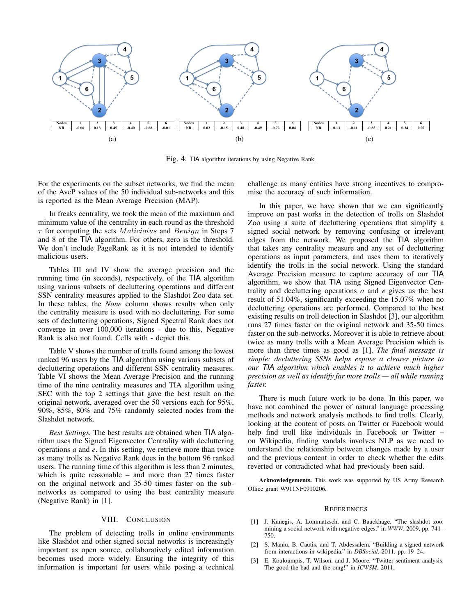

Fig. 4: TIA algorithm iterations by using Negative Rank.

For the experiments on the subset networks, we find the mean of the AveP values of the 50 individual sub-networks and this is reported as the Mean Average Precision (MAP).

In freaks centrality, we took the mean of the maximum and minimum value of the centrality in each round as the threshold  $\tau$  for computing the sets *Malicioius* and *Benign* in Steps 7 and 8 of the TIA algorithm. For others, zero is the threshold. We don't include PageRank as it is not intended to identify malicious users.

Tables III and IV show the average precision and the running time (in seconds), respectively, of the TIA algorithm using various subsets of decluttering operations and different SSN centrality measures applied to the Slashdot Zoo data set. In these tables, the *None* column shows results when only the centrality measure is used with no decluttering. For some sets of decluttering operations, Signed Spectral Rank does not converge in over 100,000 iterations - due to this, Negative Rank is also not found. Cells with - depict this.

Table V shows the number of trolls found among the lowest ranked 96 users by the TIA algorithm using various subsets of decluttering operations and different SSN centrality measures. Table VI shows the Mean Average Precision and the running time of the nine centrality measures and TIA algorithm using SEC with the top 2 settings that gave the best result on the original network, averaged over the 50 versions each for 95%, 90%, 85%, 80% and 75% randomly selected nodes from the Slashdot network.

*Best Settings.* The best results are obtained when TIA algorithm uses the Signed Eigenvector Centrality with decluttering operations *a* and *e*. In this setting, we retrieve more than twice as many trolls as Negative Rank does in the bottom 96 ranked users. The running time of this algorithm is less than 2 minutes, which is quite reasonable – and more than 27 times faster on the original network and 35-50 times faster on the subnetworks as compared to using the best centrality measure (Negative Rank) in [1].

## VIII. CONCLUSION

The problem of detecting trolls in online environments like Slashdot and other signed social networks is increasingly important as open source, collaboratively edited information becomes used more widely. Ensuring the integrity of this information is important for users while posing a technical challenge as many entities have strong incentives to compromise the accuracy of such information.

In this paper, we have shown that we can significantly improve on past works in the detection of trolls on Slashdot Zoo using a suite of decluttering operations that simplify a signed social network by removing confusing or irrelevant edges from the network. We proposed the TIA algorithm that takes any centrality measure and any set of decluttering operations as input parameters, and uses them to iteratively identify the trolls in the social network. Using the standard Average Precision measure to capture accuracy of our TIA algorithm, we show that TIA using Signed Eigenvector Centrality and decluttering operations *a* and *e* gives us the best result of 51.04%, significantly exceeding the 15.07% when no decluttering operations are performed. Compared to the best existing results on troll detection in Slashdot [3], our algorithm runs 27 times faster on the original network and 35-50 times faster on the sub-networks. Moreover it is able to retrieve about twice as many trolls with a Mean Average Precision which is more than three times as good as [1]. *The final message is simple: decluttering SSNs helps expose a clearer picture to our TIA algorithm which enables it to achieve much higher precision as well as identify far more trolls — all while running faster.*

There is much future work to be done. In this paper, we have not combined the power of natural language processing methods and network analysis methods to find trolls. Clearly, looking at the content of posts on Twitter or Facebook would help find troll like individuals in Facebook or Twitter – on Wikipedia, finding vandals involves NLP as we need to understand the relationship between changes made by a user and the previous content in order to check whether the edits reverted or contradicted what had previously been said.

Acknowledgements. This work was supported by US Army Research Office grant W911NF0910206.

## **REFERENCES**

- [1] J. Kunegis, A. Lommatzsch, and C. Bauckhage, "The slashdot zoo: mining a social network with negative edges," in *WWW*, 2009, pp. 741– 750.
- [2] S. Maniu, B. Cautis, and T. Abdessalem, "Building a signed network from interactions in wikipedia," in *DBSocial*, 2011, pp. 19–24.
- [3] E. Kouloumpis, T. Wilson, and J. Moore, "Twitter sentiment analysis: The good the bad and the omg!" in *ICWSM*, 2011.